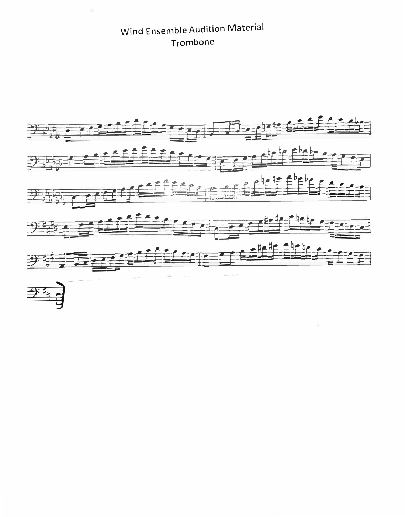Wind Ensemble Audition Material Trombone

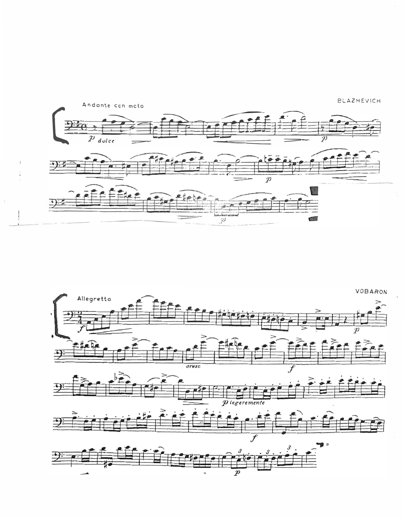

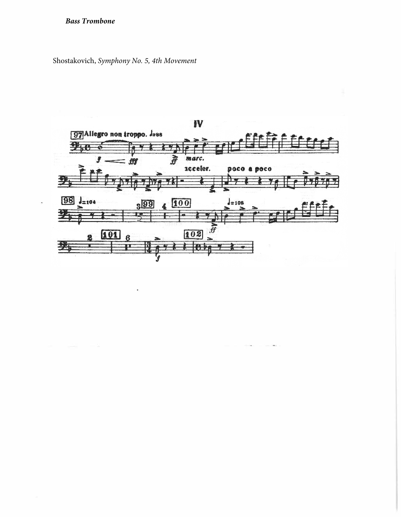## *Bass Trombone*

Shostakovich, *Symphony No. 5, 4th Movement*

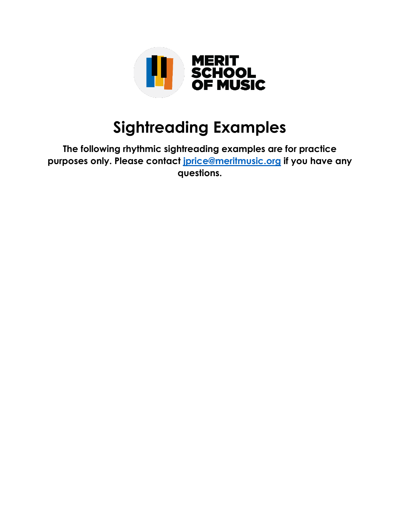

## **Sightreading Examples**

**The following rhythmic sightreading examples are for practice purposes only. Please contact [jprice@meritmusic.org](mailto:jprice@meritmusic.org) if you have any questions.**